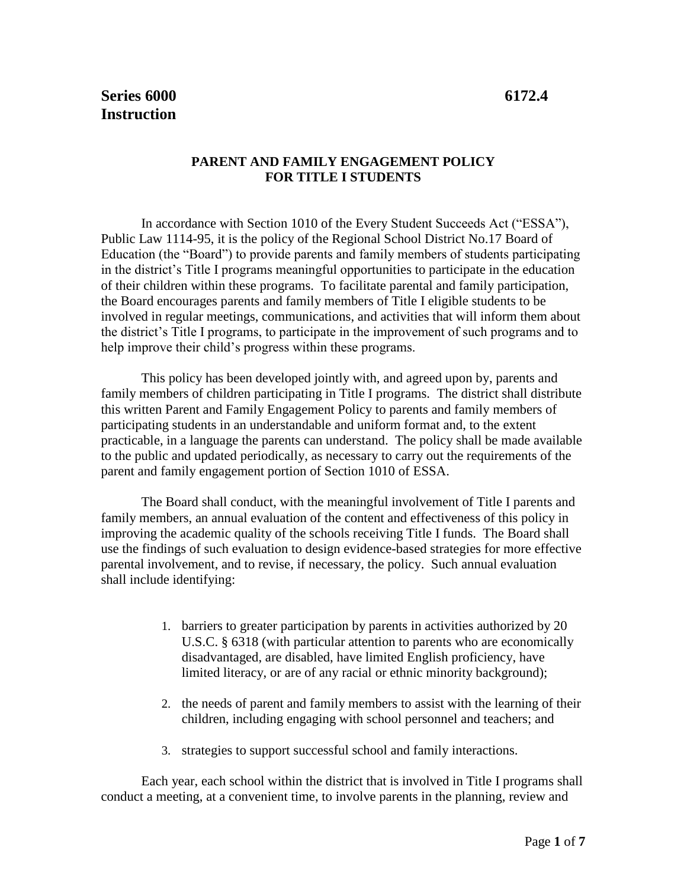## **PARENT AND FAMILY ENGAGEMENT POLICY FOR TITLE I STUDENTS**

In accordance with Section 1010 of the Every Student Succeeds Act ("ESSA"), Public Law 1114-95, it is the policy of the Regional School District No.17 Board of Education (the "Board") to provide parents and family members of students participating in the district's Title I programs meaningful opportunities to participate in the education of their children within these programs. To facilitate parental and family participation, the Board encourages parents and family members of Title I eligible students to be involved in regular meetings, communications, and activities that will inform them about the district's Title I programs, to participate in the improvement of such programs and to help improve their child's progress within these programs.

This policy has been developed jointly with, and agreed upon by, parents and family members of children participating in Title I programs. The district shall distribute this written Parent and Family Engagement Policy to parents and family members of participating students in an understandable and uniform format and, to the extent practicable, in a language the parents can understand. The policy shall be made available to the public and updated periodically, as necessary to carry out the requirements of the parent and family engagement portion of Section 1010 of ESSA.

The Board shall conduct, with the meaningful involvement of Title I parents and family members, an annual evaluation of the content and effectiveness of this policy in improving the academic quality of the schools receiving Title I funds. The Board shall use the findings of such evaluation to design evidence-based strategies for more effective parental involvement, and to revise, if necessary, the policy. Such annual evaluation shall include identifying:

- 1. barriers to greater participation by parents in activities authorized by 20 U.S.C. § 6318 (with particular attention to parents who are economically disadvantaged, are disabled, have limited English proficiency, have limited literacy, or are of any racial or ethnic minority background);
- 2. the needs of parent and family members to assist with the learning of their children, including engaging with school personnel and teachers; and
- 3. strategies to support successful school and family interactions.

Each year, each school within the district that is involved in Title I programs shall conduct a meeting, at a convenient time, to involve parents in the planning, review and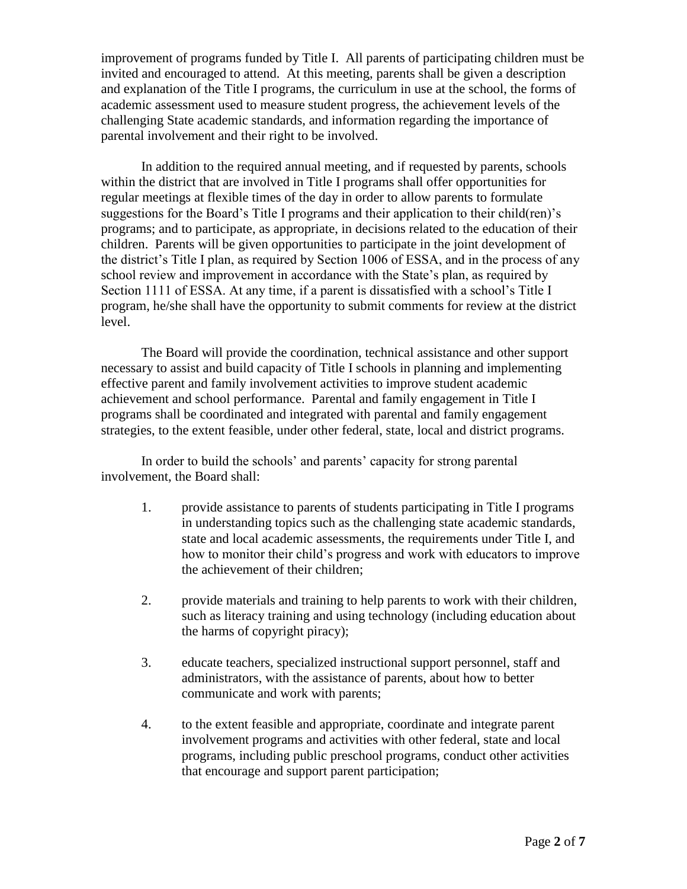improvement of programs funded by Title I. All parents of participating children must be invited and encouraged to attend. At this meeting, parents shall be given a description and explanation of the Title I programs, the curriculum in use at the school, the forms of academic assessment used to measure student progress, the achievement levels of the challenging State academic standards, and information regarding the importance of parental involvement and their right to be involved.

In addition to the required annual meeting, and if requested by parents, schools within the district that are involved in Title I programs shall offer opportunities for regular meetings at flexible times of the day in order to allow parents to formulate suggestions for the Board's Title I programs and their application to their child(ren)'s programs; and to participate, as appropriate, in decisions related to the education of their children. Parents will be given opportunities to participate in the joint development of the district's Title I plan, as required by Section 1006 of ESSA, and in the process of any school review and improvement in accordance with the State's plan, as required by Section 1111 of ESSA. At any time, if a parent is dissatisfied with a school's Title I program, he/she shall have the opportunity to submit comments for review at the district level.

The Board will provide the coordination, technical assistance and other support necessary to assist and build capacity of Title I schools in planning and implementing effective parent and family involvement activities to improve student academic achievement and school performance. Parental and family engagement in Title I programs shall be coordinated and integrated with parental and family engagement strategies, to the extent feasible, under other federal, state, local and district programs.

In order to build the schools' and parents' capacity for strong parental involvement, the Board shall:

- 1. provide assistance to parents of students participating in Title I programs in understanding topics such as the challenging state academic standards, state and local academic assessments, the requirements under Title I, and how to monitor their child's progress and work with educators to improve the achievement of their children;
- 2. provide materials and training to help parents to work with their children, such as literacy training and using technology (including education about the harms of copyright piracy);
- 3. educate teachers, specialized instructional support personnel, staff and administrators, with the assistance of parents, about how to better communicate and work with parents;
- 4. to the extent feasible and appropriate, coordinate and integrate parent involvement programs and activities with other federal, state and local programs, including public preschool programs, conduct other activities that encourage and support parent participation;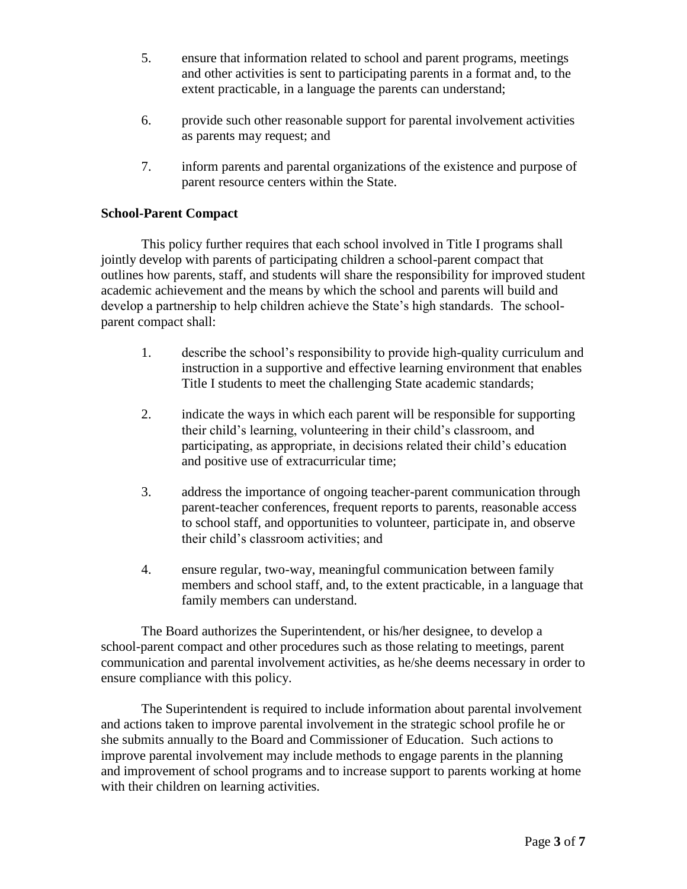- 5. ensure that information related to school and parent programs, meetings and other activities is sent to participating parents in a format and, to the extent practicable, in a language the parents can understand;
- 6. provide such other reasonable support for parental involvement activities as parents may request; and
- 7. inform parents and parental organizations of the existence and purpose of parent resource centers within the State.

### **School-Parent Compact**

This policy further requires that each school involved in Title I programs shall jointly develop with parents of participating children a school-parent compact that outlines how parents, staff, and students will share the responsibility for improved student academic achievement and the means by which the school and parents will build and develop a partnership to help children achieve the State's high standards. The schoolparent compact shall:

- 1. describe the school's responsibility to provide high-quality curriculum and instruction in a supportive and effective learning environment that enables Title I students to meet the challenging State academic standards;
- 2. indicate the ways in which each parent will be responsible for supporting their child's learning, volunteering in their child's classroom, and participating, as appropriate, in decisions related their child's education and positive use of extracurricular time;
- 3. address the importance of ongoing teacher-parent communication through parent-teacher conferences, frequent reports to parents, reasonable access to school staff, and opportunities to volunteer, participate in, and observe their child's classroom activities; and
- 4. ensure regular, two-way, meaningful communication between family members and school staff, and, to the extent practicable, in a language that family members can understand.

The Board authorizes the Superintendent, or his/her designee, to develop a school-parent compact and other procedures such as those relating to meetings, parent communication and parental involvement activities, as he/she deems necessary in order to ensure compliance with this policy.

The Superintendent is required to include information about parental involvement and actions taken to improve parental involvement in the strategic school profile he or she submits annually to the Board and Commissioner of Education. Such actions to improve parental involvement may include methods to engage parents in the planning and improvement of school programs and to increase support to parents working at home with their children on learning activities.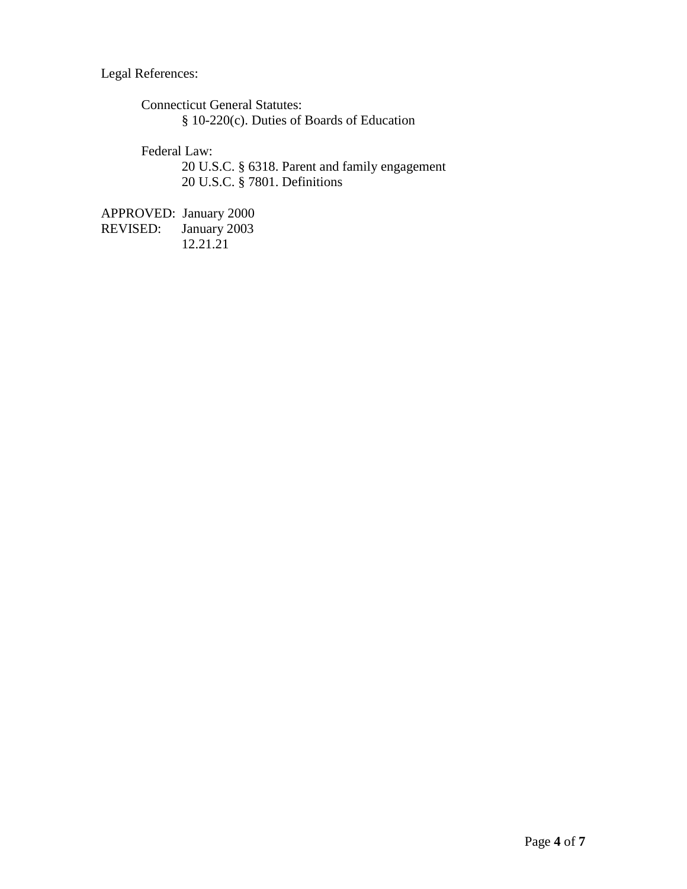Legal References:

Connecticut General Statutes: § 10-220(c). Duties of Boards of Education

Federal Law:

20 U.S.C. § 6318. Parent and family engagement 20 U.S.C. § 7801. Definitions

APPROVED: January 2000<br>REVISED: January 2003 January 2003 12.21.21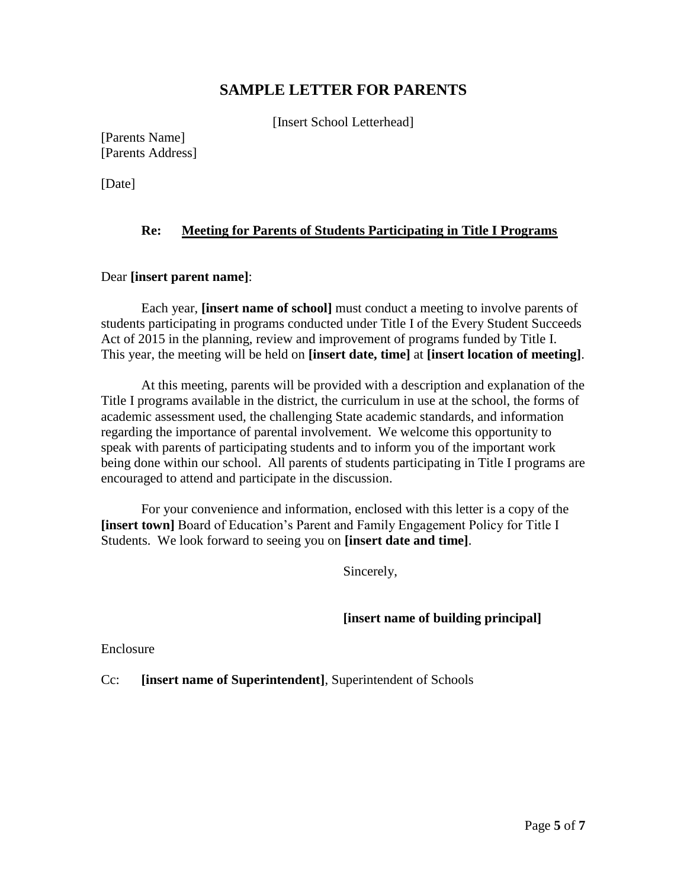# **SAMPLE LETTER FOR PARENTS**

[Insert School Letterhead]

[Parents Name] [Parents Address]

[Date]

#### **Re: Meeting for Parents of Students Participating in Title I Programs**

#### Dear **[insert parent name]**:

Each year, **[insert name of school]** must conduct a meeting to involve parents of students participating in programs conducted under Title I of the Every Student Succeeds Act of 2015 in the planning, review and improvement of programs funded by Title I. This year, the meeting will be held on **[insert date, time]** at **[insert location of meeting]**.

At this meeting, parents will be provided with a description and explanation of the Title I programs available in the district, the curriculum in use at the school, the forms of academic assessment used, the challenging State academic standards, and information regarding the importance of parental involvement. We welcome this opportunity to speak with parents of participating students and to inform you of the important work being done within our school. All parents of students participating in Title I programs are encouraged to attend and participate in the discussion.

For your convenience and information, enclosed with this letter is a copy of the **[insert town]** Board of Education's Parent and Family Engagement Policy for Title I Students. We look forward to seeing you on **[insert date and time]**.

Sincerely,

#### **[insert name of building principal]**

Enclosure

Cc: **[insert name of Superintendent]**, Superintendent of Schools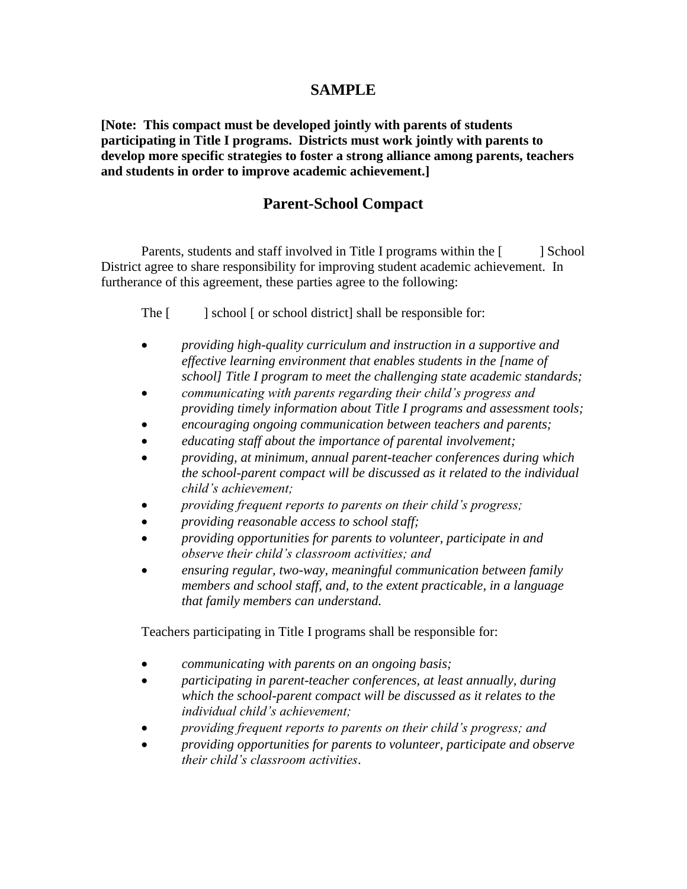## **SAMPLE**

**[Note: This compact must be developed jointly with parents of students participating in Title I programs. Districts must work jointly with parents to develop more specific strategies to foster a strong alliance among parents, teachers and students in order to improve academic achievement.]**

# **Parent-School Compact**

Parents, students and staff involved in Title I programs within the [ ] School District agree to share responsibility for improving student academic achievement. In furtherance of this agreement, these parties agree to the following:

The [ ] school [ or school district] shall be responsible for:

- *providing high-quality curriculum and instruction in a supportive and effective learning environment that enables students in the [name of school] Title I program to meet the challenging state academic standards;*
- *communicating with parents regarding their child's progress and providing timely information about Title I programs and assessment tools;*
- *encouraging ongoing communication between teachers and parents;*
- *educating staff about the importance of parental involvement;*
- *providing, at minimum, annual parent-teacher conferences during which the school-parent compact will be discussed as it related to the individual child's achievement;*
- *providing frequent reports to parents on their child's progress;*
- *providing reasonable access to school staff;*
- *providing opportunities for parents to volunteer, participate in and observe their child's classroom activities; and*
- *ensuring regular, two-way, meaningful communication between family members and school staff, and, to the extent practicable, in a language that family members can understand.*

Teachers participating in Title I programs shall be responsible for:

- *communicating with parents on an ongoing basis;*
- *participating in parent-teacher conferences, at least annually, during which the school-parent compact will be discussed as it relates to the individual child's achievement;*
- *providing frequent reports to parents on their child's progress; and*
- *providing opportunities for parents to volunteer, participate and observe their child's classroom activities*.